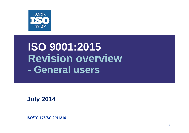

### **ISO 9001:2015 Revision overview - General users**

**July 2014**

**ISO/TC 176/SC 2/N1219**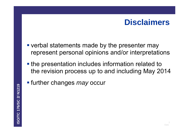### **Disclaimers**

- **verbal statements made by the presenter may** represent personal opinions and/or interpretations
- **the presentation includes information related to** the revision process up to and including May 2014
- further changes *may* occur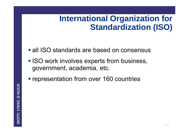## **International Organization for Standardization (ISO)**

- **all ISO standards are based on consensus**
- **ISO work involves experts from business,** government, academia, etc.
- **representation from over 160 countries**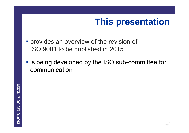## **This presentation**

- **Provides an overview of the revision of** ISO 9001 to be published in 2015
- **Example 15 is being developed by the ISO sub-committee for** communication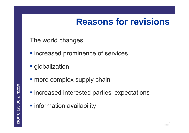## **Reasons for revisions**

The world changes:

- $\blacksquare$  increased prominence of services
- **globalization**
- **more complex supply chain**
- $\blacksquare$  increased interested parties' expectations
- **Information availability**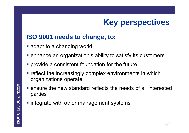## **Key perspectives**

### **ISO 9001 needs to change, to:**

- **a** adapt to a changing world
- **EXTERF 1** enhance an organization's ability to satisfy its customers
- **Perovide a consistent foundation for the future**
- **reflect the increasingly complex environments in which** organizations operate
- ensure the new standard reflects the needs of all interested parties
- **integrate with other management systems**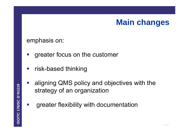### **Main changes**

### emphasis on:

- $\mathcal{L}_{\mathcal{A}}$ greater focus on the customer
- $\mathcal{L}_{\mathcal{A}}$ risk-based thinking
- $\mathcal{L}_{\mathcal{A}}$  aligning QMS policy and objectives with the strategy of an organization
- $\mathcal{L}_{\mathcal{A}}$ greater flexibility with documentation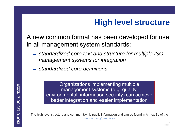## **High level structure**

A new common format has been developed for use in all management system standards:

- *standardized core text and structure for multiple ISO management systems for integration*
- ̶ *standardized core definitions*

Organizations implementing multiple management systems (e.g. quality, environmental, information security) can achieve better integration and easier implementation

The high level structure and common text is public information and can be found in Annex SL of the www.iso.org/directives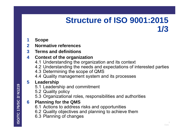### **Structure of ISO 9001:2015 1/3**

#### **1Scope**

- **2Normative references**
- **3 Terms and definitions**

#### **4Context of the organization**

- 4.1 Understanding the organization and its context
- 4.2 Understanding the needs and expectations of interested parties
- 4.3 Determining the scope of QMS
- 4.4 Quality management system and its processes

#### **5Leadership**

- 5.1 Leadership and commitment
- 5.2 Quality policy
- 5.3 Organizational roles, responsibilities and authorities

#### **6Planning for the QMS**

- 6.1 Actions to address risks and opportunities
- 6.2 Quality objectives and planning to achieve them
- 6.3 Planning of changes

ISO/TC 176/SC 2/ N1219 **ISO/TC 176/SC 2/ N1219**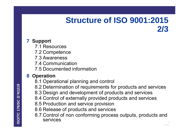### **Structure of ISO 9001:2015 2/3**

### **7 Support**

- 7.1 Resources
- 7.2 Competence
- 7.3 Awareness
- 7.4 Communication
- 7.5 Documented information

### **8 Operation**

- 8.1 Operational planning and control
- 8.2 Determination of requirements for products and services
- 8.3 Design and development of products and services
- 8.4 Control of externally provided products and services
- 8.5 Production and service provision
- 8.6 Release of products and services
- 8.7 Control of non conforming process outputs, products and services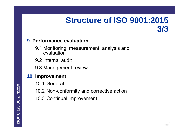### **Structure of ISO 9001:2015 3/3**

### **9 Performance evaluation**

- 9.1 Monitoring, measurement, analysis and evaluation
- 9.2 Internal audit
- 9.3 Management review

### **10 Improvement**

- 10.1 General
- 10.2 Non-conformity and corrective action
- 10.3 Continual improvement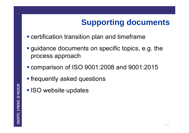## **Supporting documents**

- **Exerchification transition plan and timeframe**
- guidance documents on specific topics, e.g. the process approach
- comparison of ISO 9001:2008 and 9001:2015
- **Filte frequently asked questions**
- **ISO website updates**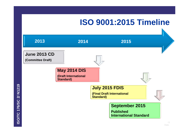### **ISO 9001:2015 Timeline**



**ISO/TC 176/SC 2/ N1219**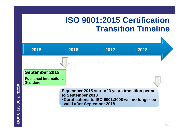### **ISO 9001:2015 Certification Transition Timeline**

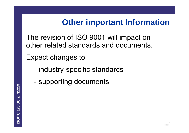## **Other important Information**

The revision of ISO 9001 will impact on other related standards and documents.

Expect changes to:

- industry-specific standards
- supporting documents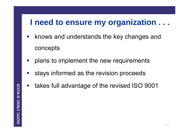### **I need to ensure my organization . . .**

- $\mathbb{R}^3$  knows and understands the key changes and concepts
- plans to implement the new requirements
- stays informed as the revision proceeds
- $\frac{1}{2}$ takes full advantage of the revised ISO 9001